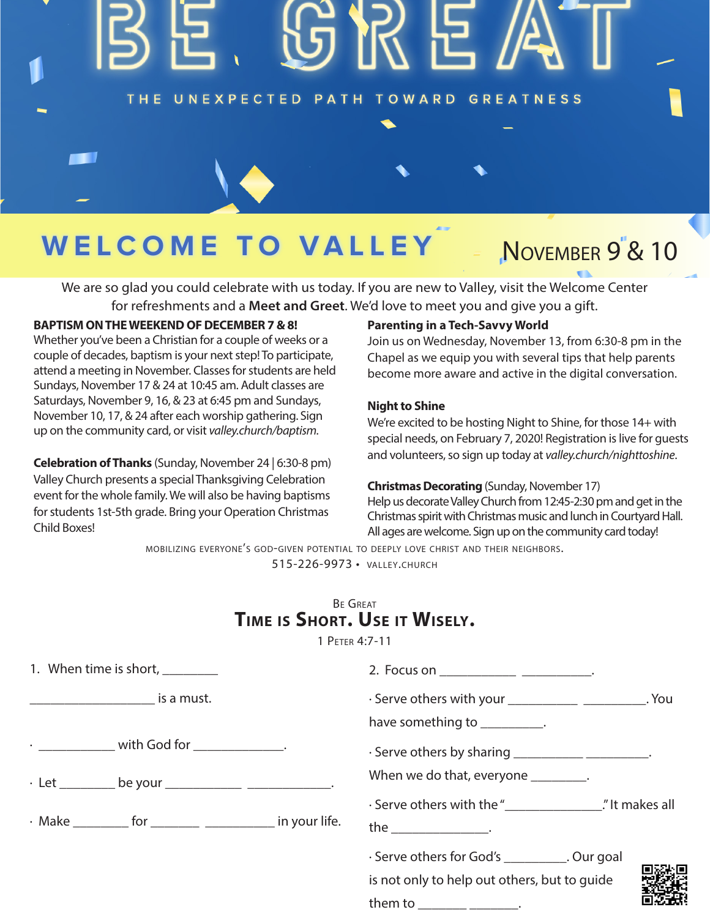### THE UNEXPECTED PATH TOWARD GREATNESS

# WELCOME TO VALLE

# NOVEMBER 9<sup>'</sup>& 10

We are so glad you could celebrate with us today. If you are new to Valley, visit the Welcome Center for refreshments and a **Meet and Greet**. We'd love to meet you and give you a gift.

#### **BAPTISM ON THE WEEKEND OF DECEMBER 7 & 8!**

Whether you've been a Christian for a couple of weeks or a couple of decades, baptism is your next step! To participate, attend a meeting in November. Classes for students are held Sundays, November 17 & 24 at 10:45 am. Adult classes are Saturdays, November 9, 16, & 23 at 6:45 pm and Sundays, November 10, 17, & 24 after each worship gathering. Sign up on the community card, or visit *valley.church/baptism.*

**Celebration of Thanks** (Sunday, November 24 | 6:30-8 pm) Valley Church presents a special Thanksgiving Celebration event for the whole family. We will also be having baptisms for students 1st-5th grade. Bring your Operation Christmas Child Boxes!

#### **Parenting in a Tech-Savvy World**

Join us on Wednesday, November 13, from 6:30-8 pm in the Chapel as we equip you with several tips that help parents become more aware and active in the digital conversation.

#### **Night to Shine**

We're excited to be hosting Night to Shine, for those 14+ with special needs, on February 7, 2020! Registration is live for guests and volunteers, so sign up today at *valley.church/nighttoshine*.

#### **Christmas Decorating** (Sunday, November 17)

Help us decorate Valley Church from 12:45-2:30 pm and get in the Christmas spirit with Christmas music and lunch in Courtyard Hall. All ages are welcome. Sign up on the community card today!

mobilizing everyone's god-given potential to deeply love christ and their neighbors. 515-226-9973 • valley.church

### Be Great **Time is Short. Use it Wisely.**

1 Peter 4:7-11

| 1. When time is short, 1.                                  | 2. Focus on __________________________________.                                                                                                                                                                                                                        |
|------------------------------------------------------------|------------------------------------------------------------------------------------------------------------------------------------------------------------------------------------------------------------------------------------------------------------------------|
| <u>_________________________</u> is a must.                | · Serve others with your ____________________________. You                                                                                                                                                                                                             |
|                                                            | have something to __________.                                                                                                                                                                                                                                          |
| $\cdot$ ______________ with God for ______________.        | · Serve others by sharing _____________________.                                                                                                                                                                                                                       |
| . Let __________ be your _______________ ________________. | When we do that, everyone _________.                                                                                                                                                                                                                                   |
|                                                            | . Serve others with the " <b>Serve others</b> with the " <b>Serve others</b> with the " <b>Serve others</b> with the " <b>Serve others</b> with the " <b>Serve others</b> with the " <b>Serve others</b> with the " <b>Serve others</b> with the " <b>Serve others</b> |
|                                                            | the ____________________.                                                                                                                                                                                                                                              |
|                                                            | · Serve others for God's __________. Our goal                                                                                                                                                                                                                          |
|                                                            | is not only to help out others, but to guide                                                                                                                                                                                                                           |
|                                                            | them to _______ _______.                                                                                                                                                                                                                                               |